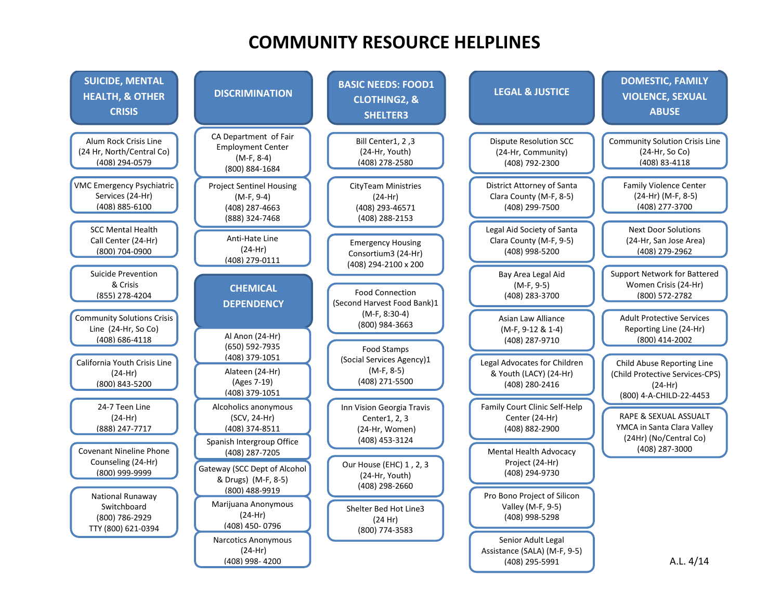## **COMMUNITY RESOURCE HELPLINES**